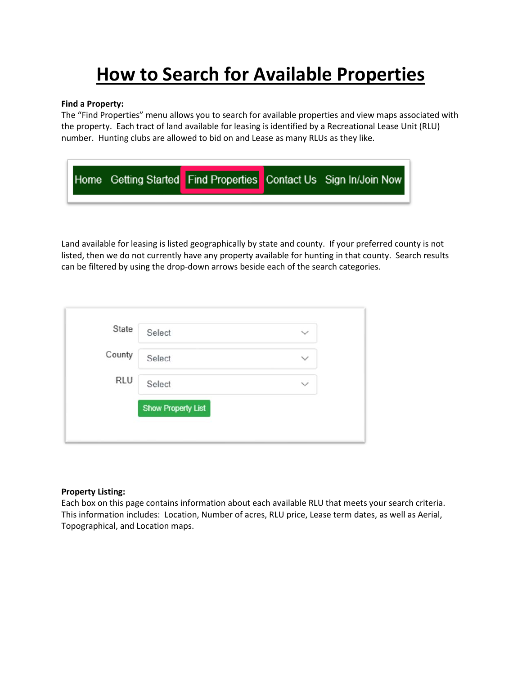# **How to Search for Available Properties**

#### **Find a Property:**

The "Find Properties" menu allows you to search for available properties and view maps associated with the property. Each tract of land available for leasing is identified by a Recreational Lease Unit (RLU) number. Hunting clubs are allowed to bid on and Lease as many RLUs as they like.

|  |  | Home Getting Started Find Properties Contact Us Sign In/Join Now |
|--|--|------------------------------------------------------------------|
|  |  |                                                                  |

Land available for leasing is listed geographically by state and county. If your preferred county is not listed, then we do not currently have any property available for hunting in that county. Search results can be filtered by using the drop-down arrows beside each of the search categories.

|            | Select                    | $\checkmark$ |
|------------|---------------------------|--------------|
| County     | Select                    | $\checkmark$ |
| <b>RLU</b> | Select                    | $\checkmark$ |
|            | <b>Show Property List</b> |              |

#### **Property Listing:**

Each box on this page contains information about each available RLU that meets your search criteria. This information includes: Location, Number of acres, RLU price, Lease term dates, as well as Aerial, Topographical, and Location maps.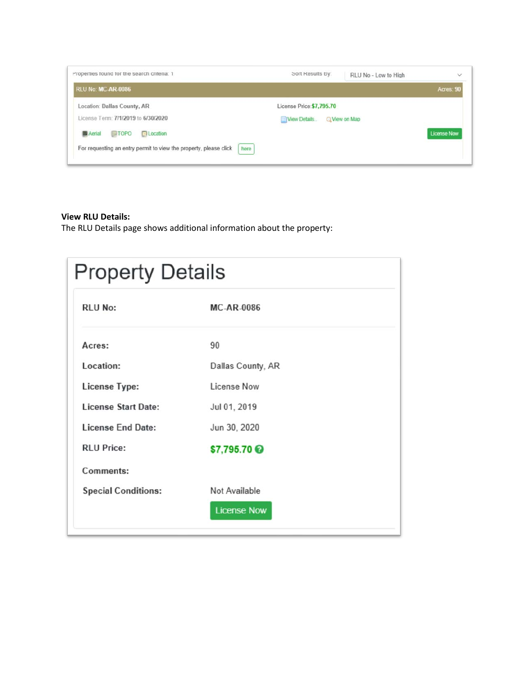| Properties found for the search criteria: 1                               | Sort Results By:          |                      | RLU No - Low to High | $\checkmark$       |
|---------------------------------------------------------------------------|---------------------------|----------------------|----------------------|--------------------|
| RLU No: MC-AR-0086                                                        |                           |                      |                      | Acres: 90          |
| Location: Dallas County, AR                                               | License Price: \$7,795.70 |                      |                      |                    |
| License Term: 7/1/2019 to 6/30/2020                                       | View Details              | <b>Q</b> View on Map |                      |                    |
| <b>B</b> Aerial<br>$\Box$ TOPO<br><b>El</b> Location                      |                           |                      |                      | <b>License Now</b> |
| here<br>For requesting an entry permit to view the property, please click |                           |                      |                      |                    |
|                                                                           |                           |                      |                      |                    |

### **View RLU Details:**

The RLU Details page shows additional information about the property:

| <b>Property Details</b>    |                    |  |  |  |
|----------------------------|--------------------|--|--|--|
| <b>RLU No:</b>             | <b>MC-AR-0086</b>  |  |  |  |
| Acres:                     | 90                 |  |  |  |
| Location:                  | Dallas County, AR  |  |  |  |
| <b>License Type:</b>       | License Now        |  |  |  |
| <b>License Start Date:</b> | Jul 01, 2019       |  |  |  |
| <b>License End Date:</b>   | Jun 30, 2020       |  |  |  |
| <b>RLU Price:</b>          | \$7,795.70         |  |  |  |
| Comments:                  |                    |  |  |  |
| <b>Special Conditions:</b> | Not Available      |  |  |  |
|                            | <b>License Now</b> |  |  |  |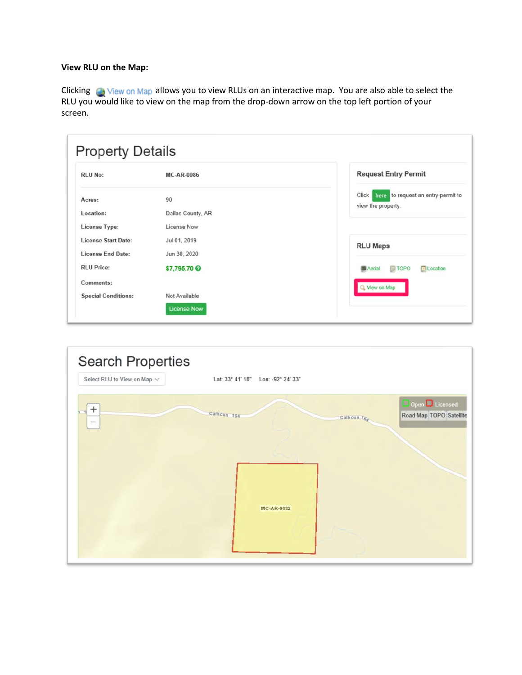## **View RLU on the Map:**

Clicking **C** View on Map allows you to view RLUs on an interactive map. You are also able to select the RLU you would like to view on the map from the drop-down arrow on the top left portion of your screen.

| <b>RLU No:</b>             | <b>MC-AR-0086</b> | <b>Request Entry Permit</b>                          |
|----------------------------|-------------------|------------------------------------------------------|
| Acres:                     | 90                | here to request an entry permit to<br>Click          |
| Location:                  | Dallas County, AR | view the property.                                   |
| <b>License Type:</b>       | License Now       |                                                      |
| <b>License Start Date:</b> | Jul 01, 2019      | <b>RLU Maps</b>                                      |
| <b>License End Date:</b>   | Jun 30, 2020      |                                                      |
| <b>RLU</b> Price:          | \$7,795.70        | <b>El Location</b><br><b>TOPO</b><br><b>M</b> Aerial |
| Comments:                  |                   | Q View on Map                                        |
| <b>Special Conditions:</b> | Not Available     |                                                      |

| Search Properties<br>Select RLU to View on Map $\vee$ | Lat: 33° 41' 18" Lon: -92° 24' 33"                                                                 |  |
|-------------------------------------------------------|----------------------------------------------------------------------------------------------------|--|
| $^{+}$<br>$\hspace{0.05cm}$                           | Open Licensed<br>Calhoun 164<br>Road Map TOPO Satellite<br>Calhoun $T_{\mathcal{G}_{\mathcal{A}}}$ |  |
|                                                       | MC-AR-0032                                                                                         |  |